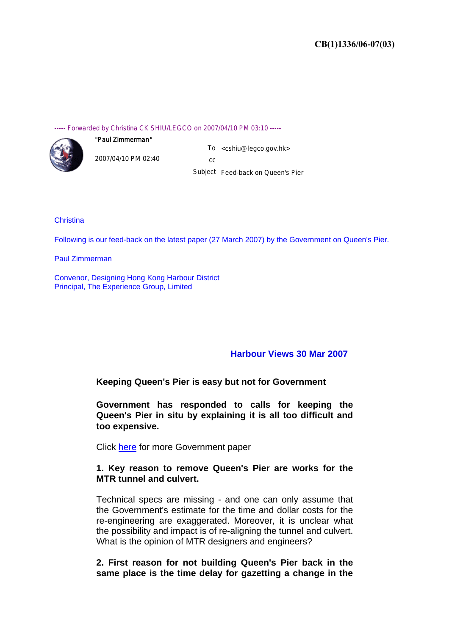#### ----- Forwarded by Christina CK SHIU/LEGCO on 2007/04/10 PM 03:10 -----



2007/04/10 PM 02:40

"Paul Zimmerman"

To <cshiu@legco.gov.hk> cc

Subject Feed-back on Queen's Pier

### **Christina**

Following is our feed-back on the latest paper (27 March 2007) by the Government on Queen's Pier.

Paul Zimmerman

Convenor, Designing Hong Kong Harbour District Principal, The Experience Group, Limited

## **Harbour Views 30 Mar 2007**

## **Keeping Queen's Pier is easy but not for Government**

**Government has responded to calls for keeping the Queen's Pier in situ by explaining it is all too difficult and too expensive.**

Click here for more Government paper

## **1. Key reason to remove Queen's Pier are works for the MTR tunnel and culvert.**

Technical specs are missing - and one can only assume that the Government's estimate for the time and dollar costs for the re-engineering are exaggerated. Moreover, it is unclear what the possibility and impact is of re-aligning the tunnel and culvert. What is the opinion of MTR designers and engineers?

**2. First reason for not building Queen's Pier back in the same place is the time delay for gazetting a change in the**